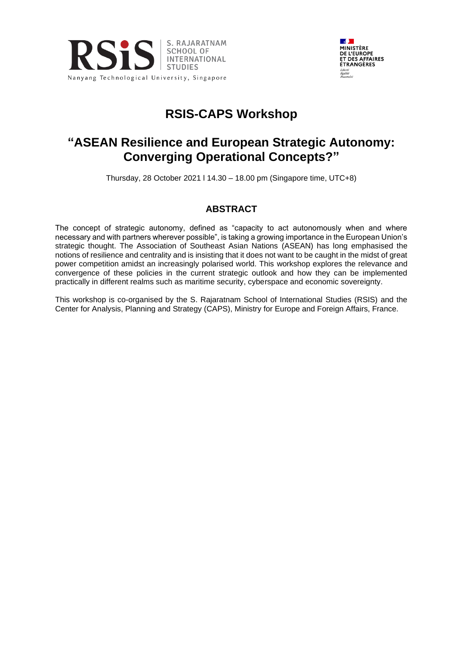



# **RSIS-CAPS Workshop**

## **"ASEAN Resilience and European Strategic Autonomy: Converging Operational Concepts?"**

Thursday, 28 October 2021 l 14.30 – 18.00 pm (Singapore time, UTC+8)

### **ABSTRACT**

The concept of strategic autonomy, defined as "capacity to act autonomously when and where necessary and with partners wherever possible", is taking a growing importance in the European Union's strategic thought. The Association of Southeast Asian Nations (ASEAN) has long emphasised the notions of resilience and centrality and is insisting that it does not want to be caught in the midst of great power competition amidst an increasingly polarised world. This workshop explores the relevance and convergence of these policies in the current strategic outlook and how they can be implemented practically in different realms such as maritime security, cyberspace and economic sovereignty.

This workshop is co-organised by the S. Rajaratnam School of International Studies (RSIS) and the Center for Analysis, Planning and Strategy (CAPS), Ministry for Europe and Foreign Affairs, France.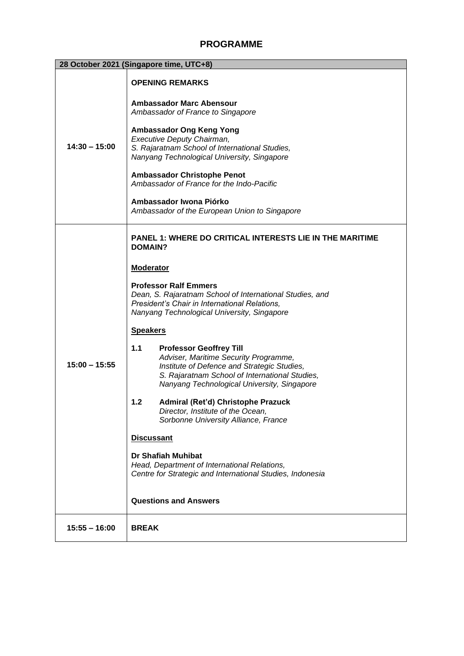### **PROGRAMME**

| 28 October 2021 (Singapore time, UTC+8) |                                                                                                                                                                                                                                  |  |
|-----------------------------------------|----------------------------------------------------------------------------------------------------------------------------------------------------------------------------------------------------------------------------------|--|
|                                         | <b>OPENING REMARKS</b>                                                                                                                                                                                                           |  |
| $14:30 - 15:00$                         | <b>Ambassador Marc Abensour</b><br>Ambassador of France to Singapore                                                                                                                                                             |  |
|                                         | Ambassador Ong Keng Yong<br>Executive Deputy Chairman,<br>S. Rajaratnam School of International Studies,<br>Nanyang Technological University, Singapore                                                                          |  |
|                                         | <b>Ambassador Christophe Penot</b><br>Ambassador of France for the Indo-Pacific                                                                                                                                                  |  |
|                                         | Ambassador Iwona Piórko<br>Ambassador of the European Union to Singapore                                                                                                                                                         |  |
|                                         | <b>PANEL 1: WHERE DO CRITICAL INTERESTS LIE IN THE MARITIME</b><br><b>DOMAIN?</b>                                                                                                                                                |  |
|                                         | <b>Moderator</b>                                                                                                                                                                                                                 |  |
|                                         | <b>Professor Ralf Emmers</b><br>Dean, S. Rajaratnam School of International Studies, and<br>President's Chair in International Relations,<br>Nanyang Technological University, Singapore                                         |  |
|                                         | <b>Speakers</b>                                                                                                                                                                                                                  |  |
| $15:00 - 15:55$                         | $1.1$<br><b>Professor Geoffrey Till</b><br>Adviser, Maritime Security Programme,<br>Institute of Defence and Strategic Studies,<br>S. Rajaratnam School of International Studies,<br>Nanyang Technological University, Singapore |  |
|                                         | 1.2<br>Admiral (Ret'd) Christophe Prazuck<br>Director, Institute of the Ocean,<br>Sorbonne University Alliance, France                                                                                                           |  |
|                                         | <b>Discussant</b>                                                                                                                                                                                                                |  |
|                                         | Dr Shafiah Muhibat<br>Head, Department of International Relations,<br>Centre for Strategic and International Studies, Indonesia                                                                                                  |  |
|                                         | <b>Questions and Answers</b>                                                                                                                                                                                                     |  |
| $15:55 - 16:00$                         | <b>BREAK</b>                                                                                                                                                                                                                     |  |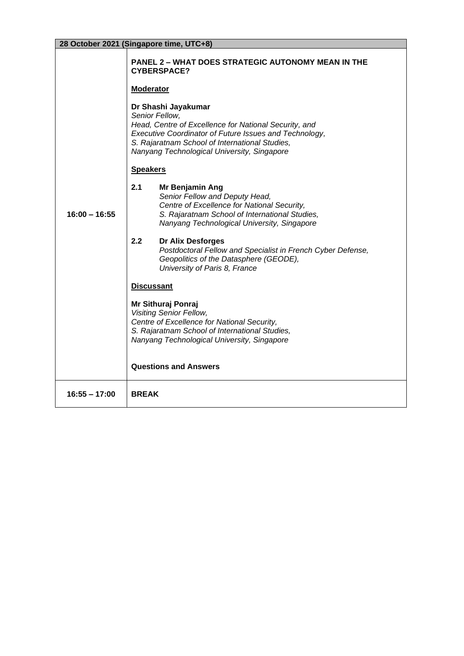| 28 October 2021 (Singapore time, UTC+8) |                                                                                                                                                                                                                                                           |  |
|-----------------------------------------|-----------------------------------------------------------------------------------------------------------------------------------------------------------------------------------------------------------------------------------------------------------|--|
|                                         | <b>PANEL 2 - WHAT DOES STRATEGIC AUTONOMY MEAN IN THE</b><br><b>CYBERSPACE?</b><br><b>Moderator</b>                                                                                                                                                       |  |
|                                         |                                                                                                                                                                                                                                                           |  |
| $16:00 - 16:55$                         | Dr Shashi Jayakumar<br>Senior Fellow,<br>Head, Centre of Excellence for National Security, and<br>Executive Coordinator of Future Issues and Technology,<br>S. Rajaratnam School of International Studies,<br>Nanyang Technological University, Singapore |  |
|                                         | <b>Speakers</b>                                                                                                                                                                                                                                           |  |
|                                         | 2.1<br>Mr Benjamin Ang<br>Senior Fellow and Deputy Head,<br>Centre of Excellence for National Security,<br>S. Rajaratnam School of International Studies,<br>Nanyang Technological University, Singapore                                                  |  |
|                                         | 2.2<br><b>Dr Alix Desforges</b><br>Postdoctoral Fellow and Specialist in French Cyber Defense,<br>Geopolitics of the Datasphere (GEODE),<br>University of Paris 8, France                                                                                 |  |
|                                         | <b>Discussant</b>                                                                                                                                                                                                                                         |  |
|                                         | Mr Sithuraj Ponraj<br><b>Visiting Senior Fellow,</b><br>Centre of Excellence for National Security,<br>S. Rajaratnam School of International Studies,<br>Nanyang Technological University, Singapore                                                      |  |
|                                         | <b>Questions and Answers</b>                                                                                                                                                                                                                              |  |
| $16:55 - 17:00$                         | <b>BREAK</b>                                                                                                                                                                                                                                              |  |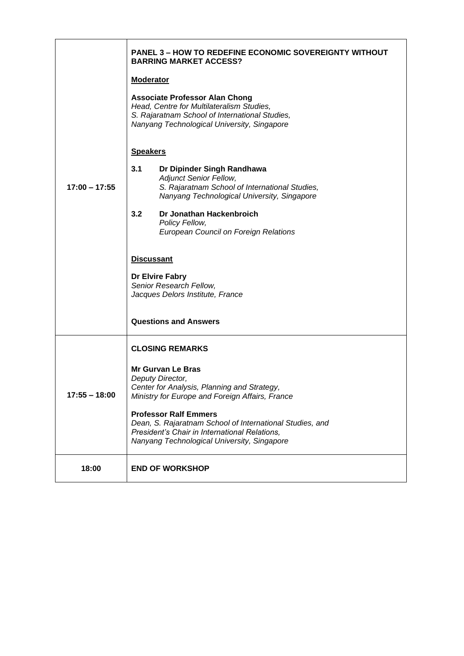| $17:00 - 17:55$ | <b>PANEL 3 - HOW TO REDEFINE ECONOMIC SOVEREIGNTY WITHOUT</b><br><b>BARRING MARKET ACCESS?</b><br><b>Moderator</b><br><b>Associate Professor Alan Chong</b><br>Head, Centre for Multilateralism Studies,<br>S. Rajaratnam School of International Studies,<br>Nanyang Technological University, Singapore<br><b>Speakers</b><br>3.1<br>Dr Dipinder Singh Randhawa<br>Adjunct Senior Fellow,<br>S. Rajaratnam School of International Studies,<br>Nanyang Technological University, Singapore<br>3.2<br>Dr Jonathan Hackenbroich<br>Policy Fellow,<br><b>European Council on Foreign Relations</b><br><b>Discussant</b><br>Dr Elvire Fabry<br>Senior Research Fellow,<br>Jacques Delors Institute, France |
|-----------------|----------------------------------------------------------------------------------------------------------------------------------------------------------------------------------------------------------------------------------------------------------------------------------------------------------------------------------------------------------------------------------------------------------------------------------------------------------------------------------------------------------------------------------------------------------------------------------------------------------------------------------------------------------------------------------------------------------|
|                 | <b>Questions and Answers</b>                                                                                                                                                                                                                                                                                                                                                                                                                                                                                                                                                                                                                                                                             |
| $17:55 - 18:00$ | <b>CLOSING REMARKS</b><br><b>Mr Gurvan Le Bras</b><br>Deputy Director,<br>Center for Analysis, Planning and Strategy,<br>Ministry for Europe and Foreign Affairs, France<br><b>Professor Ralf Emmers</b><br>Dean, S. Rajaratnam School of International Studies, and<br>President's Chair in International Relations,<br>Nanyang Technological University, Singapore                                                                                                                                                                                                                                                                                                                                     |
| 18:00           | <b>END OF WORKSHOP</b>                                                                                                                                                                                                                                                                                                                                                                                                                                                                                                                                                                                                                                                                                   |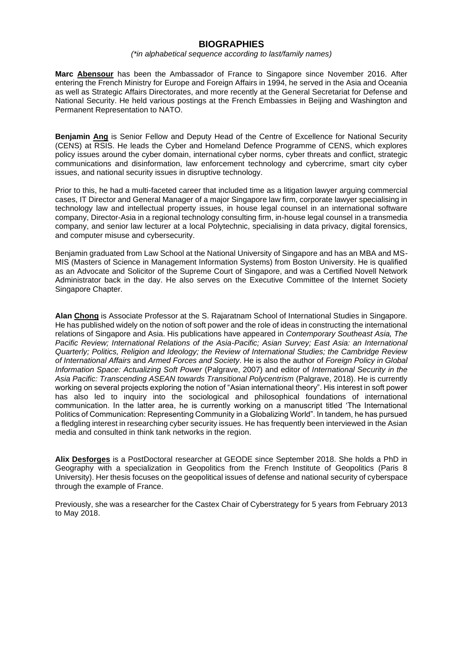#### **BIOGRAPHIES**

#### *(\*in alphabetical sequence according to last/family names)*

**Marc Abensour** has been the Ambassador of France to Singapore since November 2016. After entering the French Ministry for Europe and Foreign Affairs in 1994, he served in the Asia and Oceania as well as Strategic Affairs Directorates, and more recently at the General Secretariat for Defense and National Security. He held various postings at the French Embassies in Beijing and Washington and Permanent Representation to NATO.

**Benjamin Ang** is Senior Fellow and Deputy Head of the Centre of Excellence for National Security (CENS) at RSIS. He leads the Cyber and Homeland Defence Programme of CENS, which explores policy issues around the cyber domain, international cyber norms, cyber threats and conflict, strategic communications and disinformation, law enforcement technology and cybercrime, smart city cyber issues, and national security issues in disruptive technology.

Prior to this, he had a multi-faceted career that included time as a litigation lawyer arguing commercial cases, IT Director and General Manager of a major Singapore law firm, corporate lawyer specialising in technology law and intellectual property issues, in house legal counsel in an international software company, Director-Asia in a regional technology consulting firm, in-house legal counsel in a transmedia company, and senior law lecturer at a local Polytechnic, specialising in data privacy, digital forensics, and computer misuse and cybersecurity.

Benjamin graduated from Law School at the National University of Singapore and has an MBA and MS-MIS (Masters of Science in Management Information Systems) from Boston University. He is qualified as an Advocate and Solicitor of the Supreme Court of Singapore, and was a Certified Novell Network Administrator back in the day. He also serves on the Executive Committee of the Internet Society Singapore Chapter.

**Alan Chong** is Associate Professor at the S. Rajaratnam School of International Studies in Singapore. He has published widely on the notion of soft power and the role of ideas in constructing the international relations of Singapore and Asia. His publications have appeared in *Contemporary Southeast Asia, The Pacific Review; International Relations of the Asia-Pacific; Asian Survey; East Asia: an International Quarterly; Politics, Religion and Ideology; the Review of International Studies; the Cambridge Review of International Affairs* and *Armed Forces and Society*. He is also the author of *Foreign Policy in Global Information Space: Actualizing Soft Power* (Palgrave, 2007) and editor of *International Security in the Asia Pacific: Transcending ASEAN towards Transitional Polycentrism* (Palgrave, 2018). He is currently working on several projects exploring the notion of "Asian international theory". His interest in soft power has also led to inquiry into the sociological and philosophical foundations of international communication. In the latter area, he is currently working on a manuscript titled 'The International Politics of Communication: Representing Community in a Globalizing World". In tandem, he has pursued a fledgling interest in researching cyber security issues. He has frequently been interviewed in the Asian media and consulted in think tank networks in the region.

**Alix Desforges** is a PostDoctoral researcher at GEODE since September 2018. She holds a PhD in Geography with a specialization in Geopolitics from the French Institute of Geopolitics (Paris 8 University). Her thesis focuses on the geopolitical issues of defense and national security of cyberspace through the example of France.

Previously, she was a researcher for the Castex Chair of Cyberstrategy for 5 years from February 2013 to May 2018.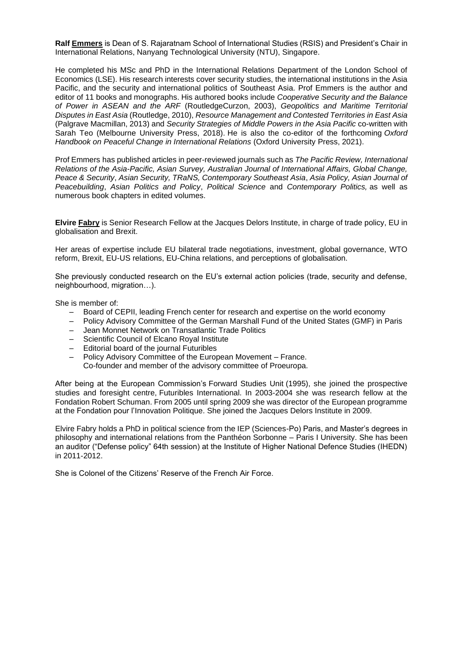**Ralf Emmers** is Dean of S. Rajaratnam School of International Studies (RSIS) and President's Chair in International Relations, Nanyang Technological University (NTU), Singapore.

He completed his MSc and PhD in the International Relations Department of the London School of Economics (LSE). His research interests cover security studies, the international institutions in the Asia Pacific, and the security and international politics of Southeast Asia. Prof Emmers is the author and editor of 11 books and monographs. His authored books include *Cooperative Security and the Balance of Power in ASEAN and the ARF* (RoutledgeCurzon, 2003), *Geopolitics and Maritime Territorial Disputes in East Asia* (Routledge, 2010), *Resource Management and Contested Territories in East Asia* (Palgrave Macmillan, 2013) and *Security Strategies of Middle Powers in the Asia Pacific* co-written with Sarah Teo (Melbourne University Press, 2018). He is also the co-editor of the forthcoming *Oxford Handbook on Peaceful Change in International Relations* (Oxford University Press, 2021).

Prof Emmers has published articles in peer-reviewed journals such as *The Pacific Review, International Relations of the Asia-Pacific, Asian Survey, Australian Journal of International Affairs, Global Change, Peace & Security*, *Asian Security, TRaNS, Contemporary Southeast Asia*, *Asia Policy, Asian Journal of Peacebuilding*, *Asian Politics and Policy*, *Political Science* and *Contemporary Politics,* as well as numerous book chapters in edited volumes.

**Elvire Fabry** is Senior Research Fellow at the Jacques Delors Institute, in charge of trade policy, EU in globalisation and Brexit.

Her areas of expertise include EU bilateral trade negotiations, investment, global governance, WTO reform, Brexit, EU-US relations, EU-China relations, and perceptions of globalisation.

She previously conducted research on the EU's external action policies (trade, security and defense, neighbourhood, migration…).

She is member of:

- Board of CEPII, leading French center for research and expertise on the world economy
- Policy Advisory Committee of the German Marshall Fund of the United States (GMF) in Paris
- Jean Monnet Network on Transatlantic Trade Politics
- Scientific Council of Elcano Royal Institute
- Editorial board of the journal Futuribles
- Policy Advisory Committee of the European Movement France.
	- Co-founder and member of the advisory committee of Proeuropa.

After being at the European Commission's Forward Studies Unit (1995), she joined the prospective studies and foresight centre, Futuribles International. In 2003-2004 she was research fellow at the Fondation Robert Schuman. From 2005 until spring 2009 she was director of the European programme at the Fondation pour l'Innovation Politique. She joined the Jacques Delors Institute in 2009.

Elvire Fabry holds a PhD in political science from the IEP (Sciences-Po) Paris, and Master's degrees in philosophy and international relations from the Panthéon Sorbonne – Paris I University. She has been an auditor ("Defense policy" 64th session) at the Institute of Higher National Defence Studies (IHEDN) in 2011-2012.

She is Colonel of the Citizens' Reserve of the French Air Force.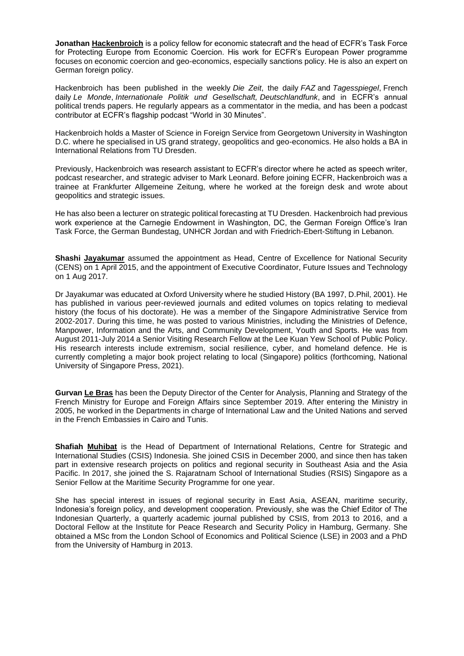**Jonathan Hackenbroich** is a policy fellow for economic statecraft and the head of ECFR's Task Force for Protecting Europe from Economic Coercion. His work for ECFR's European Power programme focuses on economic coercion and geo-economics, especially sanctions policy. He is also an expert on German foreign policy.

Hackenbroich has been published in the weekly *Die Zeit*, the daily *FAZ* and *Tagesspiegel*, French daily *Le Monde*, *Internationale Politik und Gesellschaft, Deutschlandfunk*, and in ECFR's annual political trends papers. He regularly appears as a commentator in the media, and has been a podcast contributor at ECFR's flagship podcast "World in 30 Minutes".

Hackenbroich holds a Master of Science in Foreign Service from Georgetown University in Washington D.C. where he specialised in US grand strategy, geopolitics and geo-economics. He also holds a BA in International Relations from TU Dresden.

Previously, Hackenbroich was research assistant to ECFR's director where he acted as speech writer, podcast researcher, and strategic adviser to Mark Leonard. Before joining ECFR, Hackenbroich was a trainee at Frankfurter Allgemeine Zeitung, where he worked at the foreign desk and wrote about geopolitics and strategic issues.

He has also been a lecturer on strategic political forecasting at TU Dresden. Hackenbroich had previous work experience at the Carnegie Endowment in Washington, DC, the German Foreign Office's Iran Task Force, the German Bundestag, UNHCR Jordan and with Friedrich-Ebert-Stiftung in Lebanon.

**Shashi Jayakumar** assumed the appointment as Head, Centre of Excellence for National Security (CENS) on 1 April 2015, and the appointment of Executive Coordinator, Future Issues and Technology on 1 Aug 2017.

Dr Jayakumar was educated at Oxford University where he studied History (BA 1997, D.Phil, 2001). He has published in various peer-reviewed journals and edited volumes on topics relating to medieval history (the focus of his doctorate). He was a member of the Singapore Administrative Service from 2002-2017. During this time, he was posted to various Ministries, including the Ministries of Defence, Manpower, Information and the Arts, and Community Development, Youth and Sports. He was from August 2011-July 2014 a Senior Visiting Research Fellow at the Lee Kuan Yew School of Public Policy. His research interests include extremism, social resilience, cyber, and homeland defence. He is currently completing a major book project relating to local (Singapore) politics (forthcoming, National University of Singapore Press, 2021).

**Gurvan Le Bras** has been the Deputy Director of the Center for Analysis, Planning and Strategy of the French Ministry for Europe and Foreign Affairs since September 2019. After entering the Ministry in 2005, he worked in the Departments in charge of International Law and the United Nations and served in the French Embassies in Cairo and Tunis.

**Shafiah Muhibat** is the Head of Department of International Relations, Centre for Strategic and International Studies (CSIS) Indonesia. She joined CSIS in December 2000, and since then has taken part in extensive research projects on politics and regional security in Southeast Asia and the Asia Pacific. In 2017, she joined the S. Rajaratnam School of International Studies (RSIS) Singapore as a Senior Fellow at the Maritime Security Programme for one year.

She has special interest in issues of regional security in East Asia, ASEAN, maritime security, Indonesia's foreign policy, and development cooperation. Previously, she was the Chief Editor of The Indonesian Quarterly, a quarterly academic journal published by CSIS, from 2013 to 2016, and a Doctoral Fellow at the Institute for Peace Research and Security Policy in Hamburg, Germany. She obtained a MSc from the London School of Economics and Political Science (LSE) in 2003 and a PhD from the University of Hamburg in 2013.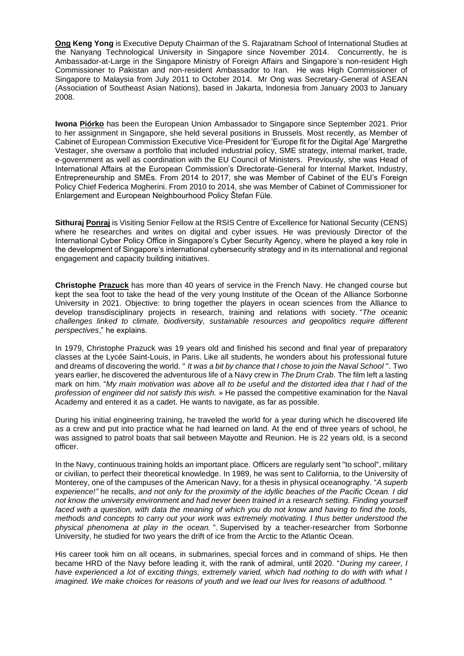**Ong Keng Yong** is Executive Deputy Chairman of the S. Rajaratnam School of International Studies at the Nanyang Technological University in Singapore since November 2014. Concurrently, he is Ambassador-at-Large in the Singapore Ministry of Foreign Affairs and Singapore's non-resident High Commissioner to Pakistan and non-resident Ambassador to Iran. He was High Commissioner of Singapore to Malaysia from July 2011 to October 2014. Mr Ong was Secretary-General of ASEAN (Association of Southeast Asian Nations), based in Jakarta, Indonesia from January 2003 to January 2008.

**Iwona Piórko** has been the European Union Ambassador to Singapore since September 2021. Prior to her assignment in Singapore, she held several positions in Brussels. Most recently, as Member of Cabinet of European Commission Executive Vice-President for 'Europe fit for the Digital Age' Margrethe Vestager, she oversaw a portfolio that included industrial policy, SME strategy, internal market, trade, e-government as well as coordination with the EU Council of Ministers. Previously, she was Head of International Affairs at the European Commission's Directorate-General for Internal Market, Industry, Entrepreneurship and SMEs. From 2014 to 2017, she was Member of Cabinet of the EU's Foreign Policy Chief Federica Mogherini. From 2010 to 2014, she was Member of Cabinet of Commissioner for Enlargement and European Neighbourhood Policy Štefan Füle.

**Sithuraj Ponraj** is Visiting Senior Fellow at the RSIS Centre of Excellence for National Security (CENS) where he researches and writes on digital and cyber issues. He was previously Director of the International Cyber Policy Office in Singapore's Cyber Security Agency, where he played a key role in the development of Singapore's international cybersecurity strategy and in its international and regional engagement and capacity building initiatives.

**Christophe Prazuck** has more than 40 years of service in the French Navy. He changed course but kept the sea foot to take the head of the very young Institute of the Ocean of the Alliance Sorbonne University in 2021. Objective: to bring together the players in ocean sciences from the Alliance to develop transdisciplinary projects in research, training and relations with society. "*The oceanic challenges linked to climate, biodiversity, sustainable resources and geopolitics require different perspectives*," he explains.

In 1979, Christophe Prazuck was 19 years old and finished his second and final year of preparatory classes at the Lycée Saint-Louis, in Paris. Like all students, he wonders about his professional future and dreams of discovering the world. " *It was a bit by chance that I chose to join the Naval School* ". Two years earlier, he discovered the adventurous life of a Navy crew in *The Drum Crab*. The film left a lasting mark on him. "*My main motivation was above all to be useful and the distorted idea that I had of the profession of engineer did not satisfy this wish.* » He passed the competitive examination for the Naval Academy and entered it as a cadet. He wants to navigate, as far as possible.

During his initial engineering training, he traveled the world for a year during which he discovered life as a crew and put into practice what he had learned on land. At the end of three years of school, he was assigned to patrol boats that sail between Mayotte and Reunion. He is 22 years old, is a second officer.

In the Navy, continuous training holds an important place. Officers are regularly sent "to school", military or civilian, to perfect their theoretical knowledge. In 1989, he was sent to California, to the University of Monterey, one of the campuses of the American Navy, for a thesis in physical oceanography. "*A superb experience!"* he recalls, *and not only for the proximity of the idyllic beaches of the Pacific Ocean. I did not know the university environment and had never been trained in a research setting. Finding yourself faced with a question, with data the meaning of which you do not know and having to find the tools, methods and concepts to carry out your work was extremely motivating. I thus better understood the physical phenomena at play in the ocean.* ". Supervised by a teacher-researcher from Sorbonne University, he studied for two years the drift of ice from the Arctic to the Atlantic Ocean.

His career took him on all oceans, in submarines, special forces and in command of ships. He then became HRD of the Navy before leading it, with the rank of admiral, until 2020. "*During my career, I have experienced a lot of exciting things, extremely varied, which had nothing to do with with what I imagined. We make choices for reasons of youth and we lead our lives for reasons of adulthood.* "